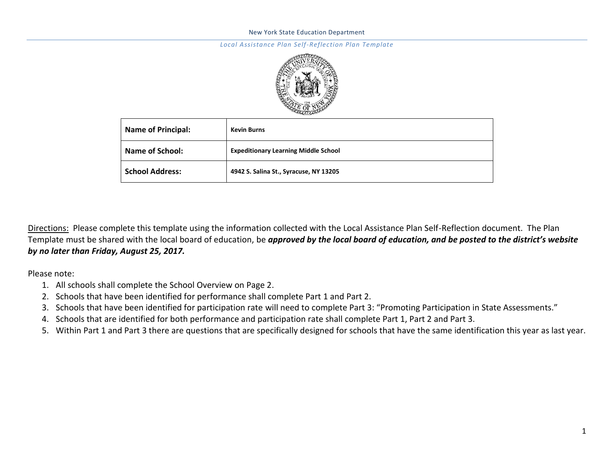#### *Local Assistance Plan Self-Reflection Plan Template*



| <b>Name of Principal:</b> | <b>Kevin Burns</b>                          |
|---------------------------|---------------------------------------------|
| Name of School:           | <b>Expeditionary Learning Middle School</b> |
| <b>School Address:</b>    | 4942 S. Salina St., Syracuse, NY 13205      |

Directions: Please complete this template using the information collected with the Local Assistance Plan Self-Reflection document. The Plan Template must be shared with the local board of education, be *approved by the local board of education, and be posted to the district's website by no later than Friday, August 25, 2017.* 

Please note:

- 1. All schools shall complete the School Overview on Page 2.
- 2. Schools that have been identified for performance shall complete Part 1 and Part 2.
- 3. Schools that have been identified for participation rate will need to complete Part 3: "Promoting Participation in State Assessments."
- 4. Schools that are identified for both performance and participation rate shall complete Part 1, Part 2 and Part 3.
- 5. Within Part 1 and Part 3 there are questions that are specifically designed for schools that have the same identification this year as last year.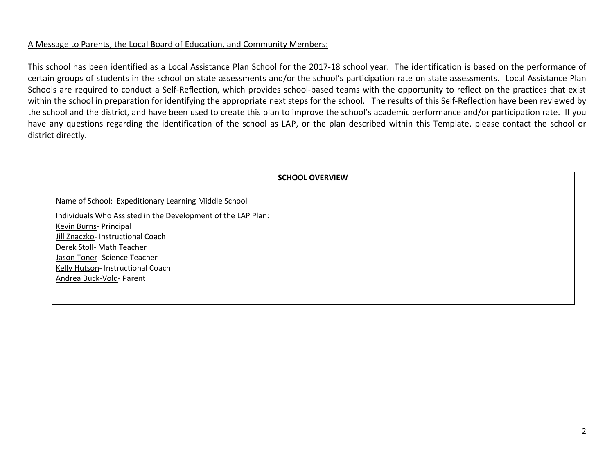# A Message to Parents, the Local Board of Education, and Community Members:

This school has been identified as a Local Assistance Plan School for the 2017-18 school year. The identification is based on the performance of certain groups of students in the school on state assessments and/or the school's participation rate on state assessments. Local Assistance Plan Schools are required to conduct a Self-Reflection, which provides school-based teams with the opportunity to reflect on the practices that exist within the school in preparation for identifying the appropriate next steps for the school. The results of this Self-Reflection have been reviewed by the school and the district, and have been used to create this plan to improve the school's academic performance and/or participation rate. If you have any questions regarding the identification of the school as LAP, or the plan described within this Template, please contact the school or district directly.

| <b>SCHOOL OVERVIEW</b>                                       |
|--------------------------------------------------------------|
| Name of School: Expeditionary Learning Middle School         |
| Individuals Who Assisted in the Development of the LAP Plan: |
| Kevin Burns- Principal                                       |
| Jill Znaczko- Instructional Coach                            |
| Derek Stoll- Math Teacher                                    |
| Jason Toner- Science Teacher                                 |
| Kelly Hutson- Instructional Coach                            |
| Andrea Buck-Vold- Parent                                     |
|                                                              |
|                                                              |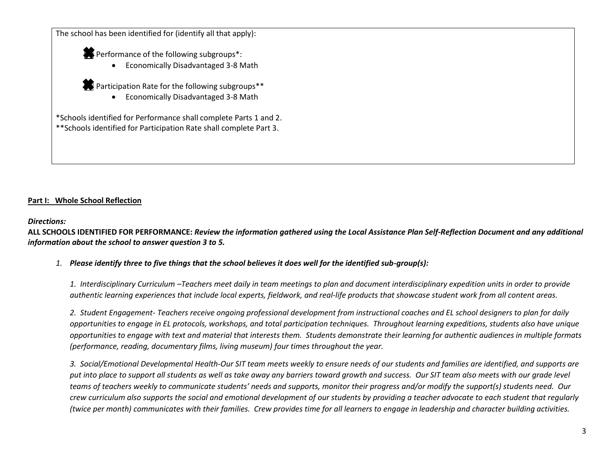The school has been identified for (identify all that apply):

Performance of the following subgroups<sup>\*</sup>:

Economically Disadvantaged 3-8 Math

Participation Rate for the following subgroups<sup>\*\*</sup>

Economically Disadvantaged 3-8 Math

\*Schools identified for Performance shall complete Parts 1 and 2. \*\*Schools identified for Participation Rate shall complete Part 3.

## **Part I: Whole School Reflection**

#### *Directions:*

**ALL SCHOOLS IDENTIFIED FOR PERFORMANCE:** *Review the information gathered using the Local Assistance Plan Self-Reflection Document and any additional information about the school to answer question 3 to 5.*

## *1. Please identify three to five things that the school believes it does well for the identified sub-group(s):*

*1. Interdisciplinary Curriculum –Teachers meet daily in team meetings to plan and document interdisciplinary expedition units in order to provide authentic learning experiences that include local experts, fieldwork, and real-life products that showcase student work from all content areas.*

*2. Student Engagement- Teachers receive ongoing professional development from instructional coaches and EL school designers to plan for daily opportunities to engage in EL protocols, workshops, and total participation techniques. Throughout learning expeditions, students also have unique opportunities to engage with text and material that interests them. Students demonstrate their learning for authentic audiences in multiple formats (performance, reading, documentary films, living museum) four times throughout the year.*

*3. Social/Emotional Developmental Health-Our SIT team meets weekly to ensure needs of our students and families are identified, and supports are put into place to support all students as well as take away any barriers toward growth and success. Our SIT team also meets with our grade level teams of teachers weekly to communicate students' needs and supports, monitor their progress and/or modify the support(s) students need. Our crew curriculum also supports the social and emotional development of our students by providing a teacher advocate to each student that regularly (twice per month) communicates with their families. Crew provides time for all learners to engage in leadership and character building activities.*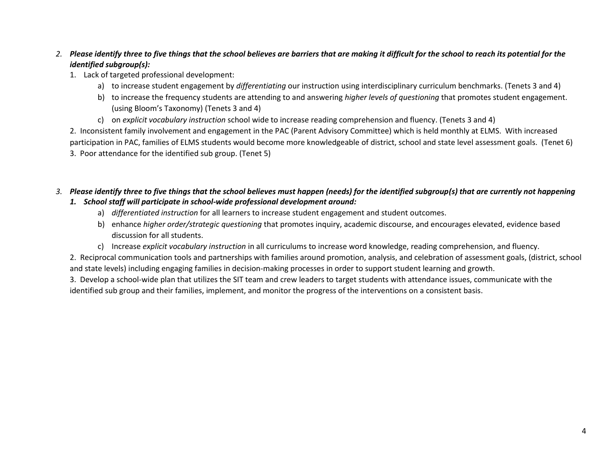# *2. Please identify three to five things that the school believes are barriers that are making it difficult for the school to reach its potential for the identified subgroup(s):*

- 1. Lack of targeted professional development:
	- a) to increase student engagement by *differentiating* our instruction using interdisciplinary curriculum benchmarks. (Tenets 3 and 4)
	- b) to increase the frequency students are attending to and answering *higher levels of questioning* that promotes student engagement. (using Bloom's Taxonomy) (Tenets 3 and 4)
	- c) on *explicit vocabulary instruction* school wide to increase reading comprehension and fluency. (Tenets 3 and 4)

2. Inconsistent family involvement and engagement in the PAC (Parent Advisory Committee) which is held monthly at ELMS. With increased participation in PAC, families of ELMS students would become more knowledgeable of district, school and state level assessment goals. (Tenet 6) 3. Poor attendance for the identified sub group. (Tenet 5)

## *3. Please identify three to five things that the school believes must happen (needs) for the identified subgroup(s) that are currently not happening 1. School staff will participate in school-wide professional development around:*

- a) *differentiated instruction* for all learners to increase student engagement and student outcomes.
- b) enhance *higher order/strategic questioning* that promotes inquiry, academic discourse, and encourages elevated, evidence based discussion for all students.
- c) Increase *explicit vocabulary instruction* in all curriculums to increase word knowledge, reading comprehension, and fluency.

2. Reciprocal communication tools and partnerships with families around promotion, analysis, and celebration of assessment goals, (district, school and state levels) including engaging families in decision-making processes in order to support student learning and growth.

3. Develop a school-wide plan that utilizes the SIT team and crew leaders to target students with attendance issues, communicate with the identified sub group and their families, implement, and monitor the progress of the interventions on a consistent basis.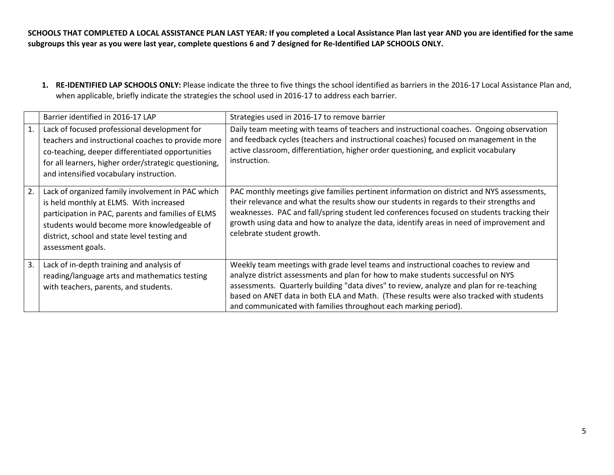**SCHOOLS THAT COMPLETED A LOCAL ASSISTANCE PLAN LAST YEAR***:* **If you completed a Local Assistance Plan last year AND you are identified for the same subgroups this year as you were last year, complete questions 6 and 7 designed for Re-Identified LAP SCHOOLS ONLY.**

**1. RE-IDENTIFIED LAP SCHOOLS ONLY:** Please indicate the three to five things the school identified as barriers in the 2016-17 Local Assistance Plan and, when applicable, briefly indicate the strategies the school used in 2016-17 to address each barrier.

|    | Barrier identified in 2016-17 LAP                                                                                                                                                                                                                                      | Strategies used in 2016-17 to remove barrier                                                                                                                                                                                                                                                                                                                                                                                      |
|----|------------------------------------------------------------------------------------------------------------------------------------------------------------------------------------------------------------------------------------------------------------------------|-----------------------------------------------------------------------------------------------------------------------------------------------------------------------------------------------------------------------------------------------------------------------------------------------------------------------------------------------------------------------------------------------------------------------------------|
| 1. | Lack of focused professional development for<br>teachers and instructional coaches to provide more<br>co-teaching, deeper differentiated opportunities<br>for all learners, higher order/strategic questioning,<br>and intensified vocabulary instruction.             | Daily team meeting with teams of teachers and instructional coaches. Ongoing observation<br>and feedback cycles (teachers and instructional coaches) focused on management in the<br>active classroom, differentiation, higher order questioning, and explicit vocabulary<br>instruction.                                                                                                                                         |
| 2. | Lack of organized family involvement in PAC which<br>is held monthly at ELMS. With increased<br>participation in PAC, parents and families of ELMS<br>students would become more knowledgeable of<br>district, school and state level testing and<br>assessment goals. | PAC monthly meetings give families pertinent information on district and NYS assessments,<br>their relevance and what the results show our students in regards to their strengths and<br>weaknesses. PAC and fall/spring student led conferences focused on students tracking their<br>growth using data and how to analyze the data, identify areas in need of improvement and<br>celebrate student growth.                      |
| 3. | Lack of in-depth training and analysis of<br>reading/language arts and mathematics testing<br>with teachers, parents, and students.                                                                                                                                    | Weekly team meetings with grade level teams and instructional coaches to review and<br>analyze district assessments and plan for how to make students successful on NYS<br>assessments. Quarterly building "data dives" to review, analyze and plan for re-teaching<br>based on ANET data in both ELA and Math. (These results were also tracked with students<br>and communicated with families throughout each marking period). |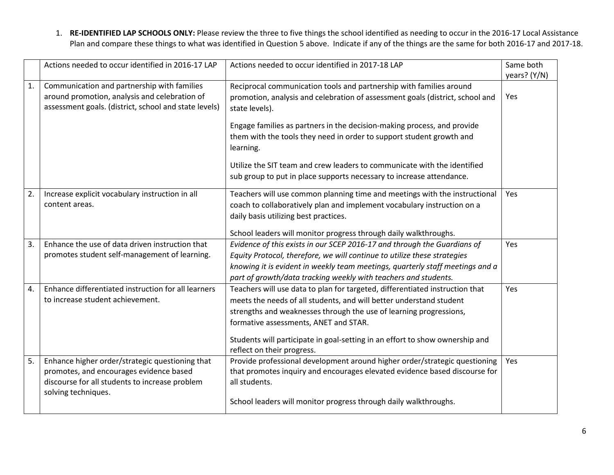1. **RE-IDENTIFIED LAP SCHOOLS ONLY:** Please review the three to five things the school identified as needing to occur in the 2016-17 Local Assistance Plan and compare these things to what was identified in Question 5 above. Indicate if any of the things are the same for both 2016-17 and 2017-18.

|                  | Actions needed to occur identified in 2016-17 LAP     | Actions needed to occur identified in 2017-18 LAP                             | Same both    |
|------------------|-------------------------------------------------------|-------------------------------------------------------------------------------|--------------|
|                  |                                                       |                                                                               | years? (Y/N) |
| 1.               | Communication and partnership with families           | Reciprocal communication tools and partnership with families around           |              |
|                  | around promotion, analysis and celebration of         | promotion, analysis and celebration of assessment goals (district, school and | Yes          |
|                  | assessment goals. (district, school and state levels) | state levels).                                                                |              |
|                  |                                                       | Engage families as partners in the decision-making process, and provide       |              |
|                  |                                                       | them with the tools they need in order to support student growth and          |              |
|                  |                                                       | learning.                                                                     |              |
|                  |                                                       | Utilize the SIT team and crew leaders to communicate with the identified      |              |
|                  |                                                       | sub group to put in place supports necessary to increase attendance.          |              |
|                  |                                                       |                                                                               |              |
| 2.               | Increase explicit vocabulary instruction in all       | Teachers will use common planning time and meetings with the instructional    | Yes          |
|                  | content areas.                                        | coach to collaboratively plan and implement vocabulary instruction on a       |              |
|                  |                                                       | daily basis utilizing best practices.                                         |              |
|                  |                                                       | School leaders will monitor progress through daily walkthroughs.              |              |
| 3.               | Enhance the use of data driven instruction that       | Evidence of this exists in our SCEP 2016-17 and through the Guardians of      | Yes          |
|                  | promotes student self-management of learning.         | Equity Protocol, therefore, we will continue to utilize these strategies      |              |
|                  |                                                       | knowing it is evident in weekly team meetings, quarterly staff meetings and a |              |
|                  |                                                       | part of growth/data tracking weekly with teachers and students.               |              |
| $\overline{4}$ . | Enhance differentiated instruction for all learners   | Teachers will use data to plan for targeted, differentiated instruction that  | Yes          |
|                  | to increase student achievement.                      | meets the needs of all students, and will better understand student           |              |
|                  |                                                       | strengths and weaknesses through the use of learning progressions,            |              |
|                  |                                                       | formative assessments, ANET and STAR.                                         |              |
|                  |                                                       | Students will participate in goal-setting in an effort to show ownership and  |              |
|                  |                                                       | reflect on their progress.                                                    |              |
| 5.               | Enhance higher order/strategic questioning that       | Provide professional development around higher order/strategic questioning    | Yes          |
|                  | promotes, and encourages evidence based               | that promotes inquiry and encourages elevated evidence based discourse for    |              |
|                  | discourse for all students to increase problem        | all students.                                                                 |              |
|                  | solving techniques.                                   |                                                                               |              |
|                  |                                                       | School leaders will monitor progress through daily walkthroughs.              |              |
|                  |                                                       |                                                                               |              |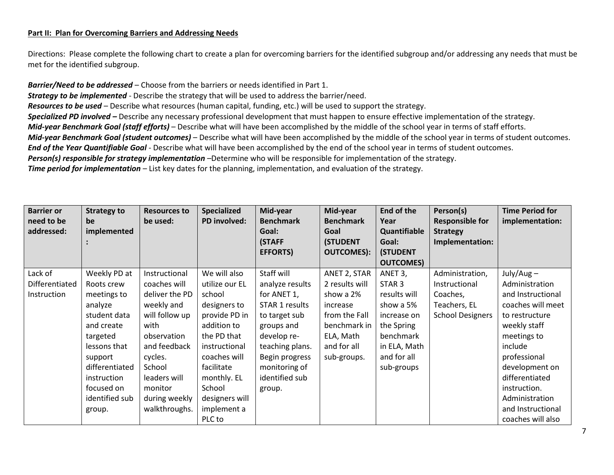#### **Part II: Plan for Overcoming Barriers and Addressing Needs**

Directions: Please complete the following chart to create a plan for overcoming barriers for the identified subgroup and/or addressing any needs that must be met for the identified subgroup.

*Barrier/Need to be addressed* – Choose from the barriers or needs identified in Part 1. *Strategy to be implemented* - Describe the strategy that will be used to address the barrier/need. *Resources to be used* – Describe what resources (human capital, funding, etc.) will be used to support the strategy. **Specialized PD involved –** Describe any necessary professional development that must happen to ensure effective implementation of the strategy. *Mid-year Benchmark Goal (staff efforts)* – Describe what will have been accomplished by the middle of the school year in terms of staff efforts. *Mid-year Benchmark Goal (student outcomes)* – Describe what will have been accomplished by the middle of the school year in terms of student outcomes. *End of the Year Quantifiable Goal* - Describe what will have been accomplished by the end of the school year in terms of student outcomes. *Person(s) responsible for strategy implementation* –Determine who will be responsible for implementation of the strategy. *Time period for implementation* – List key dates for the planning, implementation, and evaluation of the strategy.

| <b>Barrier or</b><br>need to be<br>addressed: | <b>Strategy to</b><br>be<br>implemented | <b>Resources to</b><br>be used: | <b>Specialized</b><br><b>PD</b> involved: | Mid-year<br><b>Benchmark</b><br>Goal:<br>(STAFF<br><b>EFFORTS)</b> | Mid-year<br><b>Benchmark</b><br>Goal<br><b>(STUDENT</b><br><b>OUTCOMES):</b> | End of the<br>Year<br>Quantifiable<br>Goal:<br><b>(STUDENT</b><br><b>OUTCOMES)</b> | Person(s)<br><b>Responsible for</b><br><b>Strategy</b><br>Implementation: | <b>Time Period for</b><br>implementation: |
|-----------------------------------------------|-----------------------------------------|---------------------------------|-------------------------------------------|--------------------------------------------------------------------|------------------------------------------------------------------------------|------------------------------------------------------------------------------------|---------------------------------------------------------------------------|-------------------------------------------|
| Lack of                                       | Weekly PD at                            | Instructional                   | We will also                              | Staff will                                                         | ANET 2, STAR                                                                 | ANET 3,                                                                            | Administration,                                                           | $July/Aug -$                              |
| Differentiated                                | Roots crew                              | coaches will                    | utilize our EL                            | analyze results                                                    | 2 results will                                                               | STAR <sub>3</sub>                                                                  | Instructional                                                             | Administration                            |
| Instruction                                   | meetings to                             | deliver the PD                  | school                                    | for ANET 1,                                                        | show a 2%                                                                    | results will                                                                       | Coaches,                                                                  | and Instructional                         |
|                                               | analyze                                 | weekly and                      | designers to                              | STAR 1 results                                                     | increase                                                                     | show a 5%                                                                          | Teachers, EL                                                              | coaches will meet                         |
|                                               | student data                            | will follow up                  | provide PD in                             | to target sub                                                      | from the Fall                                                                | increase on                                                                        | <b>School Designers</b>                                                   | to restructure                            |
|                                               | and create                              | with                            | addition to                               | groups and                                                         | benchmark in                                                                 | the Spring                                                                         |                                                                           | weekly staff                              |
|                                               | targeted                                | observation                     | the PD that                               | develop re-                                                        | ELA, Math                                                                    | benchmark                                                                          |                                                                           | meetings to                               |
|                                               | lessons that                            | and feedback                    | instructional                             | teaching plans.                                                    | and for all                                                                  | in ELA, Math                                                                       |                                                                           | include                                   |
|                                               | support                                 | cycles.                         | coaches will                              | Begin progress                                                     | sub-groups.                                                                  | and for all                                                                        |                                                                           | professional                              |
|                                               | differentiated                          | School                          | facilitate                                | monitoring of                                                      |                                                                              | sub-groups                                                                         |                                                                           | development on                            |
|                                               | instruction                             | leaders will                    | monthly. EL                               | identified sub                                                     |                                                                              |                                                                                    |                                                                           | differentiated                            |
|                                               | focused on                              | monitor                         | School                                    | group.                                                             |                                                                              |                                                                                    |                                                                           | instruction.                              |
|                                               | identified sub                          | during weekly                   | designers will                            |                                                                    |                                                                              |                                                                                    |                                                                           | Administration                            |
|                                               | group.                                  | walkthroughs.                   | implement a                               |                                                                    |                                                                              |                                                                                    |                                                                           | and Instructional                         |
|                                               |                                         |                                 | PLC to                                    |                                                                    |                                                                              |                                                                                    |                                                                           | coaches will also                         |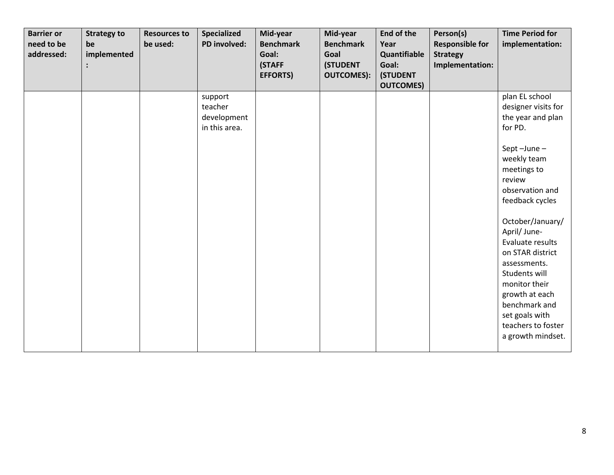| <b>Barrier or</b><br>need to be<br>addressed: | <b>Strategy to</b><br>be<br>implemented | <b>Resources to</b><br>be used: | Specialized<br>PD involved:                        | Mid-year<br><b>Benchmark</b><br>Goal:<br>(STAFF<br><b>EFFORTS)</b> | Mid-year<br><b>Benchmark</b><br>Goal<br><b>(STUDENT</b><br><b>OUTCOMES):</b> | <b>End of the</b><br>Year<br>Quantifiable<br>Goal:<br><b>(STUDENT</b><br><b>OUTCOMES)</b> | Person(s)<br><b>Responsible for</b><br><b>Strategy</b><br>Implementation: | <b>Time Period for</b><br>implementation:                                                                                                                                                                                                                                                                                                                                                       |
|-----------------------------------------------|-----------------------------------------|---------------------------------|----------------------------------------------------|--------------------------------------------------------------------|------------------------------------------------------------------------------|-------------------------------------------------------------------------------------------|---------------------------------------------------------------------------|-------------------------------------------------------------------------------------------------------------------------------------------------------------------------------------------------------------------------------------------------------------------------------------------------------------------------------------------------------------------------------------------------|
|                                               |                                         |                                 | support<br>teacher<br>development<br>in this area. |                                                                    |                                                                              |                                                                                           |                                                                           | plan EL school<br>designer visits for<br>the year and plan<br>for PD.<br>Sept-June-<br>weekly team<br>meetings to<br>review<br>observation and<br>feedback cycles<br>October/January/<br>April/ June-<br>Evaluate results<br>on STAR district<br>assessments.<br>Students will<br>monitor their<br>growth at each<br>benchmark and<br>set goals with<br>teachers to foster<br>a growth mindset. |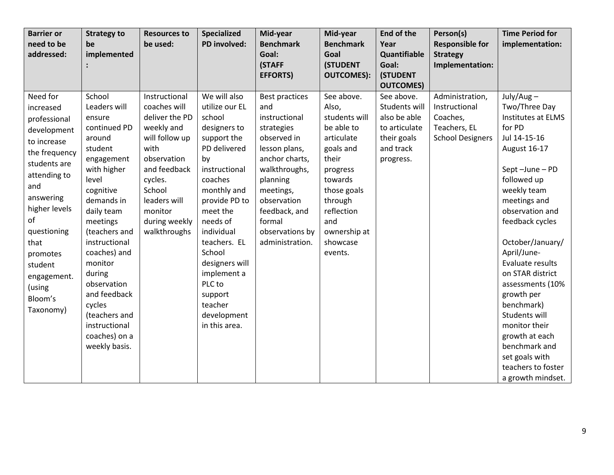| <b>Barrier or</b> | <b>Strategy to</b> | <b>Resources to</b> | Specialized    | Mid-year              | Mid-year                | End of the            | Person(s)                          | <b>Time Period for</b> |
|-------------------|--------------------|---------------------|----------------|-----------------------|-------------------------|-----------------------|------------------------------------|------------------------|
| need to be        | be                 | be used:            | PD involved:   | <b>Benchmark</b>      | <b>Benchmark</b>        | Year                  | <b>Responsible for</b>             | implementation:        |
| addressed:        | implemented        |                     |                | Goal:<br>(STAFF       | Goal<br><b>(STUDENT</b> | Quantifiable<br>Goal: | <b>Strategy</b><br>Implementation: |                        |
|                   |                    |                     |                | <b>EFFORTS)</b>       | <b>OUTCOMES):</b>       | <b>(STUDENT</b>       |                                    |                        |
|                   |                    |                     |                |                       |                         | <b>OUTCOMES)</b>      |                                    |                        |
| Need for          | School             | Instructional       | We will also   | <b>Best practices</b> | See above.              | See above.            | Administration,                    | $July/Aug -$           |
| increased         | Leaders will       | coaches will        | utilize our EL | and                   | Also,                   | Students will         | Instructional                      | Two/Three Day          |
| professional      | ensure             | deliver the PD      | school         | instructional         | students will           | also be able          | Coaches,                           | Institutes at ELMS     |
| development       | continued PD       | weekly and          | designers to   | strategies            | be able to              | to articulate         | Teachers, EL                       | for PD                 |
| to increase       | around             | will follow up      | support the    | observed in           | articulate              | their goals           | <b>School Designers</b>            | Jul 14-15-16           |
| the frequency     | student            | with                | PD delivered   | lesson plans,         | goals and               | and track             |                                    | August 16-17           |
| students are      | engagement         | observation         | by             | anchor charts,        | their                   | progress.             |                                    |                        |
| attending to      | with higher        | and feedback        | instructional  | walkthroughs,         | progress                |                       |                                    | Sept-June-PD           |
| and               | level              | cycles.             | coaches        | planning              | towards                 |                       |                                    | followed up            |
| answering         | cognitive          | School              | monthly and    | meetings,             | those goals             |                       |                                    | weekly team            |
| higher levels     | demands in         | leaders will        | provide PD to  | observation           | through                 |                       |                                    | meetings and           |
| of                | daily team         | monitor             | meet the       | feedback, and         | reflection              |                       |                                    | observation and        |
|                   | meetings           | during weekly       | needs of       | formal                | and                     |                       |                                    | feedback cycles        |
| questioning       | (teachers and      | walkthroughs        | individual     | observations by       | ownership at            |                       |                                    |                        |
| that              | instructional      |                     | teachers. EL   | administration.       | showcase                |                       |                                    | October/January/       |
| promotes          | coaches) and       |                     | School         |                       | events.                 |                       |                                    | April/June-            |
| student           | monitor            |                     | designers will |                       |                         |                       |                                    | Evaluate results       |
| engagement.       | during             |                     | implement a    |                       |                         |                       |                                    | on STAR district       |
| (using            | observation        |                     | PLC to         |                       |                         |                       |                                    | assessments (10%       |
| Bloom's           | and feedback       |                     | support        |                       |                         |                       |                                    | growth per             |
| Taxonomy)         | cycles             |                     | teacher        |                       |                         |                       |                                    | benchmark)             |
|                   | (teachers and      |                     | development    |                       |                         |                       |                                    | Students will          |
|                   | instructional      |                     | in this area.  |                       |                         |                       |                                    | monitor their          |
|                   | coaches) on a      |                     |                |                       |                         |                       |                                    | growth at each         |
|                   | weekly basis.      |                     |                |                       |                         |                       |                                    | benchmark and          |
|                   |                    |                     |                |                       |                         |                       |                                    | set goals with         |
|                   |                    |                     |                |                       |                         |                       |                                    | teachers to foster     |
|                   |                    |                     |                |                       |                         |                       |                                    | a growth mindset.      |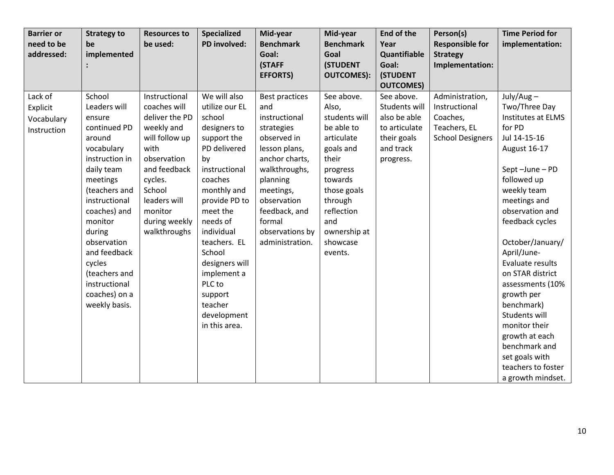| <b>Barrier or</b> | <b>Strategy to</b> | <b>Resources to</b> | <b>Specialized</b> | Mid-year         | Mid-year          | <b>End of the</b>              | Person(s)               | <b>Time Period for</b> |
|-------------------|--------------------|---------------------|--------------------|------------------|-------------------|--------------------------------|-------------------------|------------------------|
| need to be        | be                 | be used:            | PD involved:       | <b>Benchmark</b> | <b>Benchmark</b>  | Year                           | <b>Responsible for</b>  | implementation:        |
| addressed:        | implemented        |                     |                    | Goal:            | Goal              | Quantifiable                   | <b>Strategy</b>         |                        |
|                   |                    |                     |                    | (STAFF           | <b>(STUDENT</b>   | Goal:                          | Implementation:         |                        |
|                   |                    |                     |                    | <b>EFFORTS)</b>  | <b>OUTCOMES):</b> | <b>(STUDENT</b>                |                         |                        |
|                   | School             | Instructional       | We will also       |                  |                   | <b>OUTCOMES)</b><br>See above. |                         |                        |
| Lack of           |                    |                     |                    | Best practices   | See above.        |                                | Administration,         | $July/Aug -$           |
| Explicit          | Leaders will       | coaches will        | utilize our EL     | and              | Also,             | Students will                  | Instructional           | Two/Three Day          |
| Vocabulary        | ensure             | deliver the PD      | school             | instructional    | students will     | also be able                   | Coaches,                | Institutes at ELMS     |
| Instruction       | continued PD       | weekly and          | designers to       | strategies       | be able to        | to articulate                  | Teachers, EL            | for PD                 |
|                   | around             | will follow up      | support the        | observed in      | articulate        | their goals                    | <b>School Designers</b> | Jul 14-15-16           |
|                   | vocabulary         | with                | PD delivered       | lesson plans,    | goals and         | and track                      |                         | August 16-17           |
|                   | instruction in     | observation         | by                 | anchor charts,   | their             | progress.                      |                         |                        |
|                   | daily team         | and feedback        | instructional      | walkthroughs,    | progress          |                                |                         | Sept-June-PD           |
|                   | meetings           | cycles.             | coaches            | planning         | towards           |                                |                         | followed up            |
|                   | (teachers and      | School              | monthly and        | meetings,        | those goals       |                                |                         | weekly team            |
|                   | instructional      | leaders will        | provide PD to      | observation      | through           |                                |                         | meetings and           |
|                   | coaches) and       | monitor             | meet the           | feedback, and    | reflection        |                                |                         | observation and        |
|                   | monitor            | during weekly       | needs of           | formal           | and               |                                |                         | feedback cycles        |
|                   | during             | walkthroughs        | individual         | observations by  | ownership at      |                                |                         |                        |
|                   | observation        |                     | teachers. EL       | administration.  | showcase          |                                |                         | October/January/       |
|                   | and feedback       |                     | School             |                  | events.           |                                |                         | April/June-            |
|                   | cycles             |                     | designers will     |                  |                   |                                |                         | Evaluate results       |
|                   | (teachers and      |                     | implement a        |                  |                   |                                |                         | on STAR district       |
|                   | instructional      |                     | PLC to             |                  |                   |                                |                         | assessments (10%       |
|                   | coaches) on a      |                     | support            |                  |                   |                                |                         | growth per             |
|                   | weekly basis.      |                     | teacher            |                  |                   |                                |                         | benchmark)             |
|                   |                    |                     | development        |                  |                   |                                |                         | Students will          |
|                   |                    |                     | in this area.      |                  |                   |                                |                         | monitor their          |
|                   |                    |                     |                    |                  |                   |                                |                         | growth at each         |
|                   |                    |                     |                    |                  |                   |                                |                         | benchmark and          |
|                   |                    |                     |                    |                  |                   |                                |                         | set goals with         |
|                   |                    |                     |                    |                  |                   |                                |                         | teachers to foster     |
|                   |                    |                     |                    |                  |                   |                                |                         | a growth mindset.      |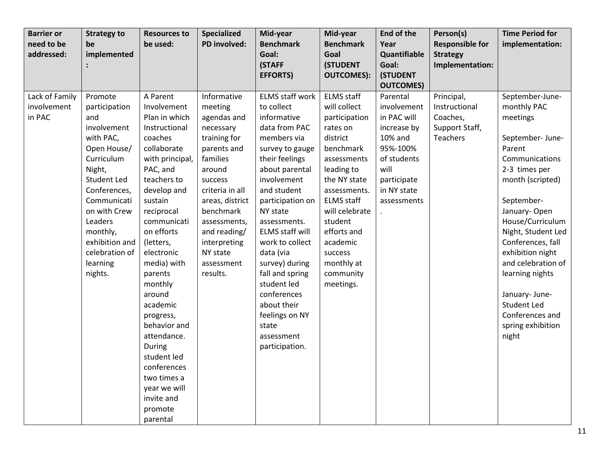| <b>Barrier or</b><br>need to be<br>addressed: | <b>Strategy to</b><br>be<br>implemented                                                                                                                                                                                                                   | <b>Resources to</b><br>be used:                                                                                                                                                                                                                                                                                                                                                                                                                      | <b>Specialized</b><br>PD involved:                                                                                                                                                                                                                          | Mid-year<br><b>Benchmark</b><br>Goal:                                                                                                                                                                                                                                                                                                                                                                                    | Mid-year<br><b>Benchmark</b><br>Goal                                                                                                                                                                                                                                                 | End of the<br>Year<br>Quantifiable                                                                                                               | Person(s)<br><b>Responsible for</b><br><b>Strategy</b>                       | <b>Time Period for</b><br>implementation:                                                                                                                                                                                                                                                                                                                                   |
|-----------------------------------------------|-----------------------------------------------------------------------------------------------------------------------------------------------------------------------------------------------------------------------------------------------------------|------------------------------------------------------------------------------------------------------------------------------------------------------------------------------------------------------------------------------------------------------------------------------------------------------------------------------------------------------------------------------------------------------------------------------------------------------|-------------------------------------------------------------------------------------------------------------------------------------------------------------------------------------------------------------------------------------------------------------|--------------------------------------------------------------------------------------------------------------------------------------------------------------------------------------------------------------------------------------------------------------------------------------------------------------------------------------------------------------------------------------------------------------------------|--------------------------------------------------------------------------------------------------------------------------------------------------------------------------------------------------------------------------------------------------------------------------------------|--------------------------------------------------------------------------------------------------------------------------------------------------|------------------------------------------------------------------------------|-----------------------------------------------------------------------------------------------------------------------------------------------------------------------------------------------------------------------------------------------------------------------------------------------------------------------------------------------------------------------------|
|                                               |                                                                                                                                                                                                                                                           |                                                                                                                                                                                                                                                                                                                                                                                                                                                      |                                                                                                                                                                                                                                                             | (STAFF<br><b>EFFORTS)</b>                                                                                                                                                                                                                                                                                                                                                                                                | <b>(STUDENT</b><br><b>OUTCOMES):</b>                                                                                                                                                                                                                                                 | Goal:<br><b>(STUDENT</b>                                                                                                                         | Implementation:                                                              |                                                                                                                                                                                                                                                                                                                                                                             |
|                                               |                                                                                                                                                                                                                                                           |                                                                                                                                                                                                                                                                                                                                                                                                                                                      |                                                                                                                                                                                                                                                             |                                                                                                                                                                                                                                                                                                                                                                                                                          |                                                                                                                                                                                                                                                                                      | <b>OUTCOMES)</b>                                                                                                                                 |                                                                              |                                                                                                                                                                                                                                                                                                                                                                             |
| Lack of Family<br>involvement<br>in PAC       | Promote<br>participation<br>and<br>involvement<br>with PAC,<br>Open House/<br>Curriculum<br>Night,<br><b>Student Led</b><br>Conferences,<br>Communicati<br>on with Crew<br>Leaders<br>monthly,<br>exhibition and<br>celebration of<br>learning<br>nights. | A Parent<br>Involvement<br>Plan in which<br>Instructional<br>coaches<br>collaborate<br>with principal,<br>PAC, and<br>teachers to<br>develop and<br>sustain<br>reciprocal<br>communicati<br>on efforts<br>(letters,<br>electronic<br>media) with<br>parents<br>monthly<br>around<br>academic<br>progress,<br>behavior and<br>attendance.<br>During<br>student led<br>conferences<br>two times a<br>year we will<br>invite and<br>promote<br>parental | Informative<br>meeting<br>agendas and<br>necessary<br>training for<br>parents and<br>families<br>around<br>success<br>criteria in all<br>areas, district<br>benchmark<br>assessments,<br>and reading/<br>interpreting<br>NY state<br>assessment<br>results. | <b>ELMS staff work</b><br>to collect<br>informative<br>data from PAC<br>members via<br>survey to gauge<br>their feelings<br>about parental<br>involvement<br>and student<br>participation on<br>NY state<br>assessments.<br>ELMS staff will<br>work to collect<br>data (via<br>survey) during<br>fall and spring<br>student led<br>conferences<br>about their<br>feelings on NY<br>state<br>assessment<br>participation. | <b>ELMS</b> staff<br>will collect<br>participation<br>rates on<br>district<br>benchmark<br>assessments<br>leading to<br>the NY state<br>assessments.<br><b>ELMS</b> staff<br>will celebrate<br>student<br>efforts and<br>academic<br>success<br>monthly at<br>community<br>meetings. | Parental<br>involvement<br>in PAC will<br>increase by<br>10% and<br>95%-100%<br>of students<br>will<br>participate<br>in NY state<br>assessments | Principal,<br>Instructional<br>Coaches,<br>Support Staff,<br><b>Teachers</b> | September-June-<br>monthly PAC<br>meetings<br>September- June-<br>Parent<br>Communications<br>2-3 times per<br>month (scripted)<br>September-<br>January-Open<br>House/Curriculum<br>Night, Student Led<br>Conferences, fall<br>exhibition night<br>and celebration of<br>learning nights<br>January- June-<br>Student Led<br>Conferences and<br>spring exhibition<br>night |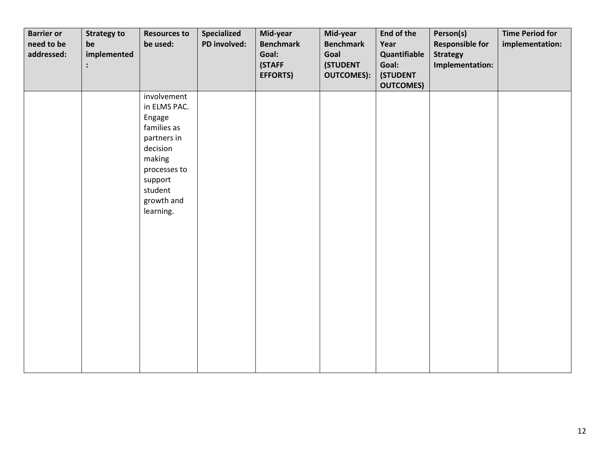| <b>Barrier or</b><br>need to be<br>addressed: | <b>Strategy to</b><br>be<br>implemented | <b>Resources to</b><br>be used:                                                                                                                            | Specialized<br>PD involved: | Mid-year<br><b>Benchmark</b><br>Goal:<br>(STAFF<br><b>EFFORTS)</b> | Mid-year<br><b>Benchmark</b><br>Goal<br><b>(STUDENT</b><br><b>OUTCOMES):</b> | <b>End of the</b><br>Year<br>Quantifiable<br>Goal:<br><b>(STUDENT</b><br><b>OUTCOMES)</b> | Person(s)<br><b>Responsible for</b><br><b>Strategy</b><br>Implementation: | <b>Time Period for</b><br>implementation: |
|-----------------------------------------------|-----------------------------------------|------------------------------------------------------------------------------------------------------------------------------------------------------------|-----------------------------|--------------------------------------------------------------------|------------------------------------------------------------------------------|-------------------------------------------------------------------------------------------|---------------------------------------------------------------------------|-------------------------------------------|
|                                               |                                         | involvement<br>in ELMS PAC.<br>Engage<br>families as<br>partners in<br>decision<br>making<br>processes to<br>support<br>student<br>growth and<br>learning. |                             |                                                                    |                                                                              |                                                                                           |                                                                           |                                           |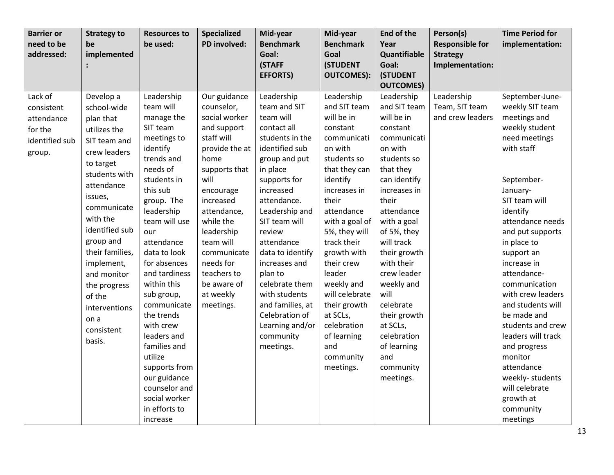| <b>Barrier or</b><br>need to be<br>addressed:                              | <b>Strategy to</b><br>be<br>implemented                                                                                                                                                                                                                                                                                           | <b>Resources to</b><br>be used:                                                                                                                                                                                                                                                                                                                                                                                                                                       | <b>Specialized</b><br>PD involved:                                                                                                                                                                                                                                                               | Mid-year<br><b>Benchmark</b><br>Goal:<br>(STAFF<br><b>EFFORTS)</b>                                                                                                                                                                                                                                                                                                                                    | Mid-year<br><b>Benchmark</b><br>Goal<br><b>(STUDENT</b><br><b>OUTCOMES):</b>                                                                                                                                                                                                                                                                                                          | End of the<br>Year<br>Quantifiable<br>Goal:<br><b>(STUDENT</b>                                                                                                                                                                                                                                                                                                                           | Person(s)<br><b>Responsible for</b><br><b>Strategy</b><br>Implementation: | <b>Time Period for</b><br>implementation:                                                                                                                                                                                                                                                                                                                                                                                                                                                              |
|----------------------------------------------------------------------------|-----------------------------------------------------------------------------------------------------------------------------------------------------------------------------------------------------------------------------------------------------------------------------------------------------------------------------------|-----------------------------------------------------------------------------------------------------------------------------------------------------------------------------------------------------------------------------------------------------------------------------------------------------------------------------------------------------------------------------------------------------------------------------------------------------------------------|--------------------------------------------------------------------------------------------------------------------------------------------------------------------------------------------------------------------------------------------------------------------------------------------------|-------------------------------------------------------------------------------------------------------------------------------------------------------------------------------------------------------------------------------------------------------------------------------------------------------------------------------------------------------------------------------------------------------|---------------------------------------------------------------------------------------------------------------------------------------------------------------------------------------------------------------------------------------------------------------------------------------------------------------------------------------------------------------------------------------|------------------------------------------------------------------------------------------------------------------------------------------------------------------------------------------------------------------------------------------------------------------------------------------------------------------------------------------------------------------------------------------|---------------------------------------------------------------------------|--------------------------------------------------------------------------------------------------------------------------------------------------------------------------------------------------------------------------------------------------------------------------------------------------------------------------------------------------------------------------------------------------------------------------------------------------------------------------------------------------------|
|                                                                            |                                                                                                                                                                                                                                                                                                                                   |                                                                                                                                                                                                                                                                                                                                                                                                                                                                       |                                                                                                                                                                                                                                                                                                  |                                                                                                                                                                                                                                                                                                                                                                                                       |                                                                                                                                                                                                                                                                                                                                                                                       | <b>OUTCOMES)</b>                                                                                                                                                                                                                                                                                                                                                                         |                                                                           |                                                                                                                                                                                                                                                                                                                                                                                                                                                                                                        |
| Lack of<br>consistent<br>attendance<br>for the<br>identified sub<br>group. | Develop a<br>school-wide<br>plan that<br>utilizes the<br>SIT team and<br>crew leaders<br>to target<br>students with<br>attendance<br>issues,<br>communicate<br>with the<br>identified sub<br>group and<br>their families,<br>implement,<br>and monitor<br>the progress<br>of the<br>interventions<br>on a<br>consistent<br>basis. | Leadership<br>team will<br>manage the<br>SIT team<br>meetings to<br>identify<br>trends and<br>needs of<br>students in<br>this sub<br>group. The<br>leadership<br>team will use<br>our<br>attendance<br>data to look<br>for absences<br>and tardiness<br>within this<br>sub group,<br>communicate<br>the trends<br>with crew<br>leaders and<br>families and<br>utilize<br>supports from<br>our guidance<br>counselor and<br>social worker<br>in efforts to<br>increase | Our guidance<br>counselor,<br>social worker<br>and support<br>staff will<br>provide the at<br>home<br>supports that<br>will<br>encourage<br>increased<br>attendance,<br>while the<br>leadership<br>team will<br>communicate<br>needs for<br>teachers to<br>be aware of<br>at weekly<br>meetings. | Leadership<br>team and SIT<br>team will<br>contact all<br>students in the<br>identified sub<br>group and put<br>in place<br>supports for<br>increased<br>attendance.<br>Leadership and<br>SIT team will<br>review<br>attendance<br>data to identify<br>increases and<br>plan to<br>celebrate them<br>with students<br>and families, at<br>Celebration of<br>Learning and/or<br>community<br>meetings. | Leadership<br>and SIT team<br>will be in<br>constant<br>communicati<br>on with<br>students so<br>that they can<br>identify<br>increases in<br>their<br>attendance<br>with a goal of<br>5%, they will<br>track their<br>growth with<br>their crew<br>leader<br>weekly and<br>will celebrate<br>their growth<br>at SCLs,<br>celebration<br>of learning<br>and<br>community<br>meetings. | Leadership<br>and SIT team<br>will be in<br>constant<br>communicati<br>on with<br>students so<br>that they<br>can identify<br>increases in<br>their<br>attendance<br>with a goal<br>of 5%, they<br>will track<br>their growth<br>with their<br>crew leader<br>weekly and<br>will<br>celebrate<br>their growth<br>at SCLs,<br>celebration<br>of learning<br>and<br>community<br>meetings. | Leadership<br>Team, SIT team<br>and crew leaders                          | September-June-<br>weekly SIT team<br>meetings and<br>weekly student<br>need meetings<br>with staff<br>September-<br>January-<br>SIT team will<br>identify<br>attendance needs<br>and put supports<br>in place to<br>support an<br>increase in<br>attendance-<br>communication<br>with crew leaders<br>and students will<br>be made and<br>students and crew<br>leaders will track<br>and progress<br>monitor<br>attendance<br>weekly-students<br>will celebrate<br>growth at<br>community<br>meetings |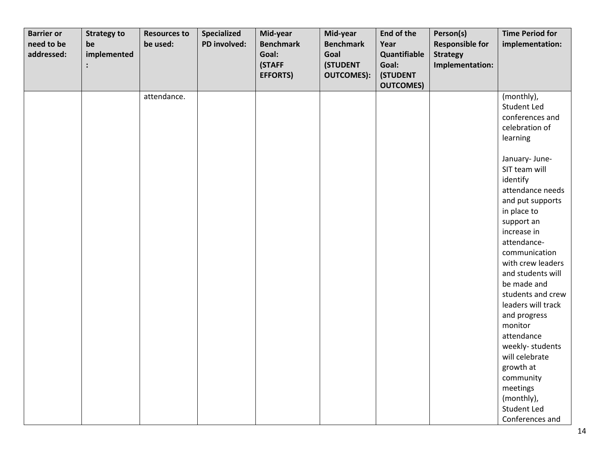| <b>Barrier or</b> | <b>Strategy to</b> | <b>Resources to</b> | <b>Specialized</b> | Mid-year         | Mid-year          | End of the       | Person(s)              | <b>Time Period for</b> |
|-------------------|--------------------|---------------------|--------------------|------------------|-------------------|------------------|------------------------|------------------------|
| need to be        | be                 | be used:            | PD involved:       | <b>Benchmark</b> | <b>Benchmark</b>  | Year             | <b>Responsible for</b> | implementation:        |
| addressed:        | implemented        |                     |                    | Goal:            | Goal              | Quantifiable     | <b>Strategy</b>        |                        |
|                   |                    |                     |                    | (STAFF           | <b>(STUDENT</b>   | Goal:            | Implementation:        |                        |
|                   |                    |                     |                    | <b>EFFORTS)</b>  | <b>OUTCOMES):</b> | (STUDENT         |                        |                        |
|                   |                    |                     |                    |                  |                   | <b>OUTCOMES)</b> |                        |                        |
|                   |                    | attendance.         |                    |                  |                   |                  |                        | (monthly),             |
|                   |                    |                     |                    |                  |                   |                  |                        | Student Led            |
|                   |                    |                     |                    |                  |                   |                  |                        | conferences and        |
|                   |                    |                     |                    |                  |                   |                  |                        | celebration of         |
|                   |                    |                     |                    |                  |                   |                  |                        | learning               |
|                   |                    |                     |                    |                  |                   |                  |                        |                        |
|                   |                    |                     |                    |                  |                   |                  |                        | January- June-         |
|                   |                    |                     |                    |                  |                   |                  |                        | SIT team will          |
|                   |                    |                     |                    |                  |                   |                  |                        | identify               |
|                   |                    |                     |                    |                  |                   |                  |                        | attendance needs       |
|                   |                    |                     |                    |                  |                   |                  |                        | and put supports       |
|                   |                    |                     |                    |                  |                   |                  |                        | in place to            |
|                   |                    |                     |                    |                  |                   |                  |                        | support an             |
|                   |                    |                     |                    |                  |                   |                  |                        | increase in            |
|                   |                    |                     |                    |                  |                   |                  |                        | attendance-            |
|                   |                    |                     |                    |                  |                   |                  |                        | communication          |
|                   |                    |                     |                    |                  |                   |                  |                        | with crew leaders      |
|                   |                    |                     |                    |                  |                   |                  |                        | and students will      |
|                   |                    |                     |                    |                  |                   |                  |                        | be made and            |
|                   |                    |                     |                    |                  |                   |                  |                        | students and crew      |
|                   |                    |                     |                    |                  |                   |                  |                        | leaders will track     |
|                   |                    |                     |                    |                  |                   |                  |                        | and progress           |
|                   |                    |                     |                    |                  |                   |                  |                        | monitor                |
|                   |                    |                     |                    |                  |                   |                  |                        | attendance             |
|                   |                    |                     |                    |                  |                   |                  |                        | weekly-students        |
|                   |                    |                     |                    |                  |                   |                  |                        | will celebrate         |
|                   |                    |                     |                    |                  |                   |                  |                        | growth at              |
|                   |                    |                     |                    |                  |                   |                  |                        | community              |
|                   |                    |                     |                    |                  |                   |                  |                        | meetings               |
|                   |                    |                     |                    |                  |                   |                  |                        | (monthly),             |
|                   |                    |                     |                    |                  |                   |                  |                        | Student Led            |
|                   |                    |                     |                    |                  |                   |                  |                        | Conferences and        |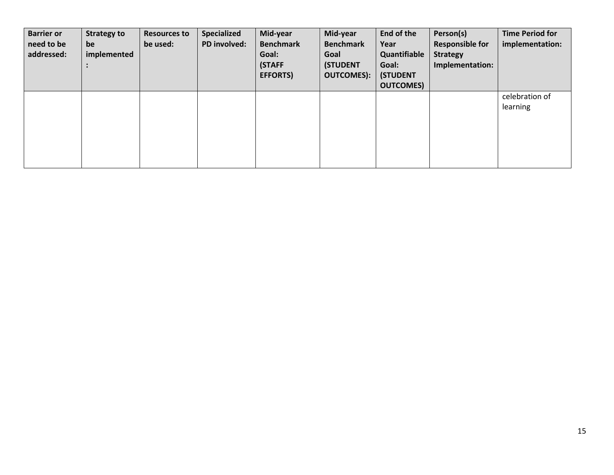| <b>Barrier or</b><br>need to be<br>addressed: | <b>Strategy to</b><br>be<br>implemented | <b>Resources to</b><br>be used: | <b>Specialized</b><br>PD involved: | Mid-year<br><b>Benchmark</b><br>Goal:<br>(STAFF<br><b>EFFORTS)</b> | Mid-year<br><b>Benchmark</b><br>Goal<br><b>(STUDENT</b><br><b>OUTCOMES):</b> | End of the<br>Year<br>Quantifiable<br>Goal:<br><b>(STUDENT</b><br><b>OUTCOMES</b> | Person(s)<br><b>Responsible for</b><br><b>Strategy</b><br>Implementation: | <b>Time Period for</b><br>implementation: |
|-----------------------------------------------|-----------------------------------------|---------------------------------|------------------------------------|--------------------------------------------------------------------|------------------------------------------------------------------------------|-----------------------------------------------------------------------------------|---------------------------------------------------------------------------|-------------------------------------------|
|                                               |                                         |                                 |                                    |                                                                    |                                                                              |                                                                                   |                                                                           | celebration of<br>learning                |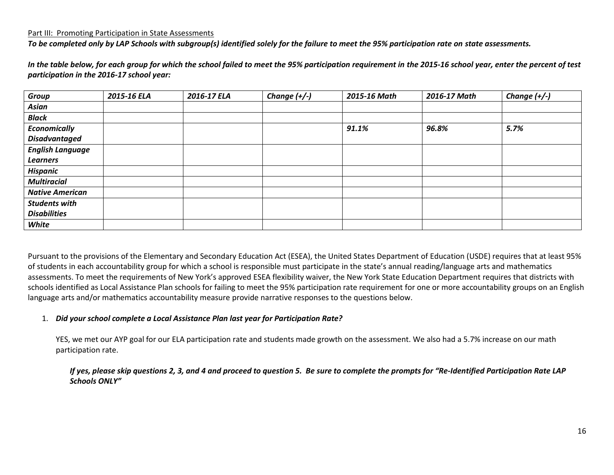#### Part III: Promoting Participation in State Assessments

*To be completed only by LAP Schools with subgroup(s) identified solely for the failure to meet the 95% participation rate on state assessments.* 

*In the table below, for each group for which the school failed to meet the 95% participation requirement in the 2015-16 school year, enter the percent of test participation in the 2016-17 school year:*

| <b>Group</b>            | 2015-16 ELA | 2016-17 ELA | Change $(+/-)$ | 2015-16 Math | 2016-17 Math | Change $(+/-)$ |
|-------------------------|-------------|-------------|----------------|--------------|--------------|----------------|
| Asian                   |             |             |                |              |              |                |
| <b>Black</b>            |             |             |                |              |              |                |
| <b>Economically</b>     |             |             |                | 91.1%        | 96.8%        | 5.7%           |
| <b>Disadvantaged</b>    |             |             |                |              |              |                |
| <b>English Language</b> |             |             |                |              |              |                |
| <b>Learners</b>         |             |             |                |              |              |                |
| <b>Hispanic</b>         |             |             |                |              |              |                |
| <b>Multiracial</b>      |             |             |                |              |              |                |
| <b>Native American</b>  |             |             |                |              |              |                |
| <b>Students with</b>    |             |             |                |              |              |                |
| <b>Disabilities</b>     |             |             |                |              |              |                |
| White                   |             |             |                |              |              |                |

Pursuant to the provisions of the Elementary and Secondary Education Act (ESEA), the United States Department of Education (USDE) requires that at least 95% of students in each accountability group for which a school is responsible must participate in the state's annual reading/language arts and mathematics assessments. To meet the requirements of New York's approved ESEA flexibility waiver, the New York State Education Department requires that districts with schools identified as Local Assistance Plan schools for failing to meet the 95% participation rate requirement for one or more accountability groups on an English language arts and/or mathematics accountability measure provide narrative responses to the questions below.

#### 1. *Did your school complete a Local Assistance Plan last year for Participation Rate?*

YES, we met our AYP goal for our ELA participation rate and students made growth on the assessment. We also had a 5.7% increase on our math participation rate.

#### *If yes, please skip questions 2, 3, and 4 and proceed to question 5. Be sure to complete the prompts for "Re-Identified Participation Rate LAP Schools ONLY"*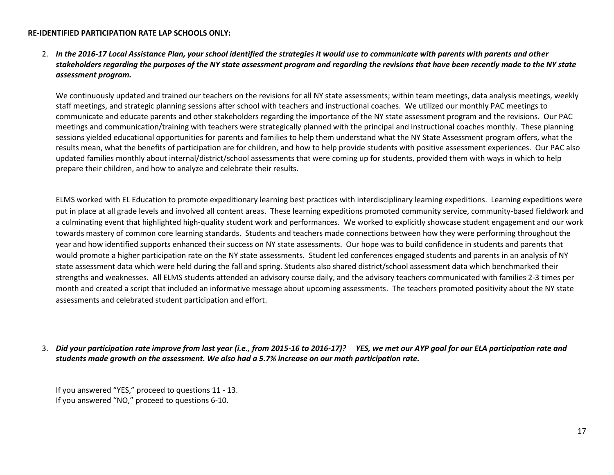#### **RE-IDENTIFIED PARTICIPATION RATE LAP SCHOOLS ONLY:**

## 2. *In the 2016-17 Local Assistance Plan, your school identified the strategies it would use to communicate with parents with parents and other stakeholders regarding the purposes of the NY state assessment program and regarding the revisions that have been recently made to the NY state assessment program.*

We continuously updated and trained our teachers on the revisions for all NY state assessments; within team meetings, data analysis meetings, weekly staff meetings, and strategic planning sessions after school with teachers and instructional coaches. We utilized our monthly PAC meetings to communicate and educate parents and other stakeholders regarding the importance of the NY state assessment program and the revisions. Our PAC meetings and communication/training with teachers were strategically planned with the principal and instructional coaches monthly. These planning sessions yielded educational opportunities for parents and families to help them understand what the NY State Assessment program offers, what the results mean, what the benefits of participation are for children, and how to help provide students with positive assessment experiences. Our PAC also updated families monthly about internal/district/school assessments that were coming up for students, provided them with ways in which to help prepare their children, and how to analyze and celebrate their results.

ELMS worked with EL Education to promote expeditionary learning best practices with interdisciplinary learning expeditions. Learning expeditions were put in place at all grade levels and involved all content areas. These learning expeditions promoted community service, community-based fieldwork and a culminating event that highlighted high-quality student work and performances. We worked to explicitly showcase student engagement and our work towards mastery of common core learning standards. Students and teachers made connections between how they were performing throughout the year and how identified supports enhanced their success on NY state assessments. Our hope was to build confidence in students and parents that would promote a higher participation rate on the NY state assessments. Student led conferences engaged students and parents in an analysis of NY state assessment data which were held during the fall and spring. Students also shared district/school assessment data which benchmarked their strengths and weaknesses. All ELMS students attended an advisory course daily, and the advisory teachers communicated with families 2-3 times per month and created a script that included an informative message about upcoming assessments. The teachers promoted positivity about the NY state assessments and celebrated student participation and effort.

## 3. *Did your participation rate improve from last year (i.e., from 2015-16 to 2016-17)? YES, we met our AYP goal for our ELA participation rate and students made growth on the assessment. We also had a 5.7% increase on our math participation rate.*

If you answered "YES," proceed to questions 11 - 13. If you answered "NO," proceed to questions 6-10.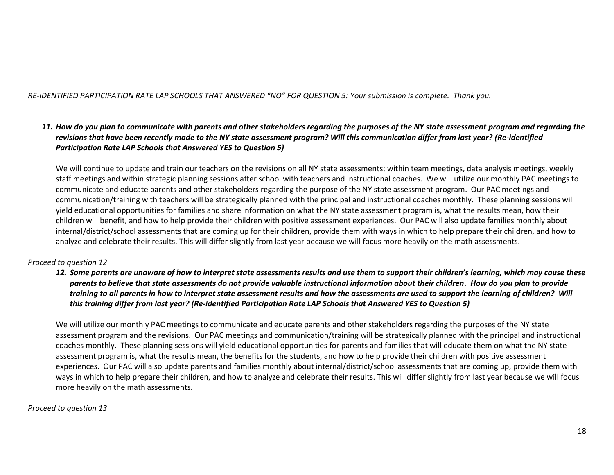#### *RE-IDENTIFIED PARTICIPATION RATE LAP SCHOOLS THAT ANSWERED "NO" FOR QUESTION 5: Your submission is complete. Thank you.*

## *11. How do you plan to communicate with parents and other stakeholders regarding the purposes of the NY state assessment program and regarding the revisions that have been recently made to the NY state assessment program? Will this communication differ from last year? (Re-identified Participation Rate LAP Schools that Answered YES to Question 5)*

We will continue to update and train our teachers on the revisions on all NY state assessments; within team meetings, data analysis meetings, weekly staff meetings and within strategic planning sessions after school with teachers and instructional coaches. We will utilize our monthly PAC meetings to communicate and educate parents and other stakeholders regarding the purpose of the NY state assessment program. Our PAC meetings and communication/training with teachers will be strategically planned with the principal and instructional coaches monthly. These planning sessions will yield educational opportunities for families and share information on what the NY state assessment program is, what the results mean, how their children will benefit, and how to help provide their children with positive assessment experiences. Our PAC will also update families monthly about internal/district/school assessments that are coming up for their children, provide them with ways in which to help prepare their children, and how to analyze and celebrate their results. This will differ slightly from last year because we will focus more heavily on the math assessments.

#### *Proceed to question 12*

*12. Some parents are unaware of how to interpret state assessments results and use them to support their children's learning, which may cause these parents to believe that state assessments do not provide valuable instructional information about their children. How do you plan to provide training to all parents in how to interpret state assessment results and how the assessments are used to support the learning of children? Will this training differ from last year? (Re-identified Participation Rate LAP Schools that Answered YES to Question 5)*

We will utilize our monthly PAC meetings to communicate and educate parents and other stakeholders regarding the purposes of the NY state assessment program and the revisions. Our PAC meetings and communication/training will be strategically planned with the principal and instructional coaches monthly. These planning sessions will yield educational opportunities for parents and families that will educate them on what the NY state assessment program is, what the results mean, the benefits for the students, and how to help provide their children with positive assessment experiences. Our PAC will also update parents and families monthly about internal/district/school assessments that are coming up, provide them with ways in which to help prepare their children, and how to analyze and celebrate their results. This will differ slightly from last year because we will focus more heavily on the math assessments.

#### *Proceed to question 13*